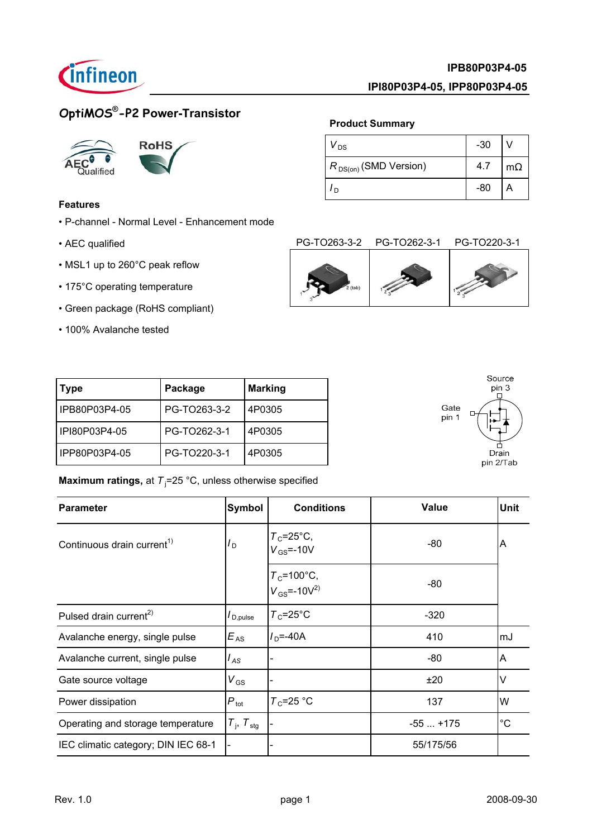

### **IPI80P03P4-05, IPP80P03P4-05**

 $V_{DS}$   $-30$   $V$ 

**Product Summary**

*I*<sub>D</sub> -80 | A

 $R_{DS(on)}$  (SMD Version) 4.7 | m $\Omega$ 

## **OptiMOS® -P2 Power-Transistor**





### **Features**

- P-channel Normal Level Enhancement mode
- AEC qualified
- MSL1 up to 260°C peak reflow
- 175°C operating temperature
- Green package (RoHS compliant)
- 100% Avalanche tested

| $2$ (tab) |  |
|-----------|--|

| Type            | Package      | <b>Marking</b> |
|-----------------|--------------|----------------|
| I IPB80P03P4-05 | PG-TO263-3-2 | 4P0305         |
| l IPI80P03P4-05 | PG-TO262-3-1 | 4P0305         |
| IPP80P03P4-05   | PG-TO220-3-1 | 4P0305         |

### **Maximum ratings,** at T<sub>j</sub>=25 °C, unless otherwise specified

| <b>Parameter</b>                       | <b>Symbol</b>                   | <b>Conditions</b>                       | <b>Value</b> | <b>Unit</b> |
|----------------------------------------|---------------------------------|-----------------------------------------|--------------|-------------|
| Continuous drain current <sup>1)</sup> | ם <i>I</i>                      | $T_c = 25^{\circ}C$ ,<br>$V_{GS}$ =-10V | -80          | A           |
|                                        |                                 | $T_c$ =100°C,<br>$V_{GS} = -10V^{2}$    | -80          |             |
| Pulsed drain current <sup>2)</sup>     | $I_{\mathsf{D},\mathsf{pulse}}$ | $T_c = 25^{\circ}$ C                    | $-320$       |             |
| Avalanche energy, single pulse         | $E_{AS}$                        | $I_{\rm D} = -40A$                      | 410          | mJ          |
| Avalanche current, single pulse        | l <sub>AS</sub>                 |                                         | -80          | A           |
| Gate source voltage                    | $V_{GS}$                        |                                         | ±20          | V           |
| Power dissipation                      | $P_{\text{tot}}$                | $T_c = 25$ °C                           | 137          | W           |
| Operating and storage temperature      | $T_{\rm j}$ , $T_{\rm stg}$     |                                         | $-55+175$    | $^{\circ}C$ |
| IEC climatic category; DIN IEC 68-1    |                                 |                                         | 55/175/56    |             |

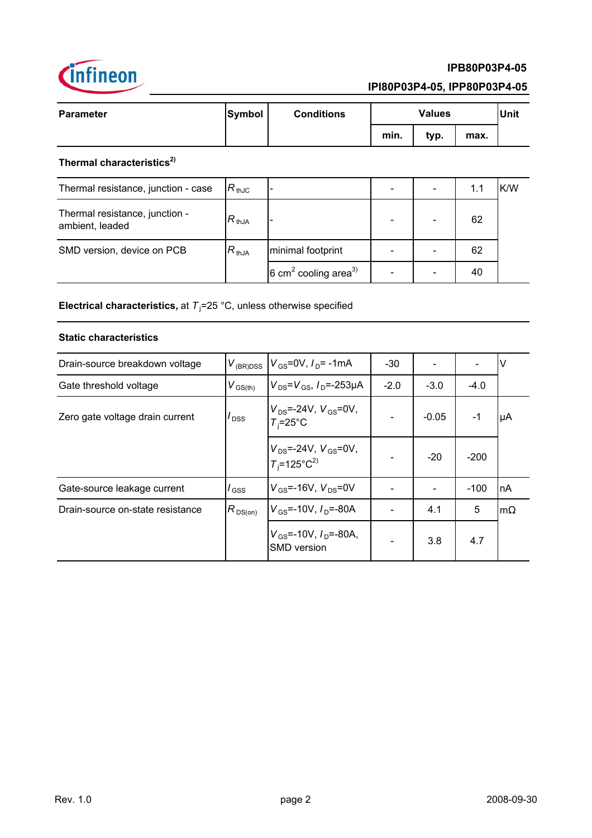

### **IPI80P03P4-05, IPP80P03P4-05**

6 cm<sup>2</sup> cooling area<sup>3)</sup>  $\begin{vmatrix} -1 & - & - \\ 0 & -1 & -1 \end{vmatrix}$  40

| <b>Parameter</b>                      | Symbol | <b>Conditions</b> | <b>Values</b> |      |      | Unit |
|---------------------------------------|--------|-------------------|---------------|------|------|------|
|                                       |        |                   | min.          | typ. | max. |      |
| Thermal characteristics <sup>2)</sup> |        |                   |               |      |      |      |

| Thermal resistance, junction - case               | $R_{\,\rm thJC}$ |                   |  | 1.1 | K/W |
|---------------------------------------------------|------------------|-------------------|--|-----|-----|
| Thermal resistance, junction -<br>ambient, leaded | $R_{thJA}$       |                   |  | 62  |     |
| SMD version, device on PCB                        | $R_{thJA}$       | minimal footprint |  | 62  |     |
|                                                   |                  |                   |  |     |     |

**Electrical characteristics,** at T<sub>i</sub>=25 °C, unless otherwise specified

### **Static characteristics**

| Drain-source breakdown voltage   | $V_{(BR)DSS}$           | $V_{\rm GS}$ =0V, $I_{\rm D}$ = -1mA                               | $-30$  |         |        | ν         |
|----------------------------------|-------------------------|--------------------------------------------------------------------|--------|---------|--------|-----------|
| Gate threshold voltage           | $V_{\text{GS(th)}}$     | $V_{DS} = V_{GS}$ , $I_{D} = -253 \mu A$                           | $-2.0$ | $-3.0$  | $-4.0$ |           |
| Zero gate voltage drain current  | $I_{\text{DSS}}$        | $V_{DS}$ =-24V, $V_{GS}$ =0V,<br>$T_i = 25^{\circ}C$               |        | $-0.05$ | $-1$   | μA        |
|                                  |                         | $V_{DS}$ =-24V, $V_{GS}$ =0V,<br>$T_i$ =125°C <sup>2)</sup>        |        | $-20$   | $-200$ |           |
| Gate-source leakage current      | $\overline{\prime}$ GSS | $V_{\rm GS}$ =-16V, $V_{\rm DS}$ =0V                               |        |         | $-100$ | nA        |
| Drain-source on-state resistance | $R_{DS(on)}$            | $V_{GS}$ =-10V, $I_{D}$ =-80A                                      |        | 4.1     | 5      | $m\Omega$ |
|                                  |                         | $V_{\text{GS}}$ =-10V, $I_{\text{D}}$ =-80A,<br><b>SMD</b> version |        | 3.8     | 4.7    |           |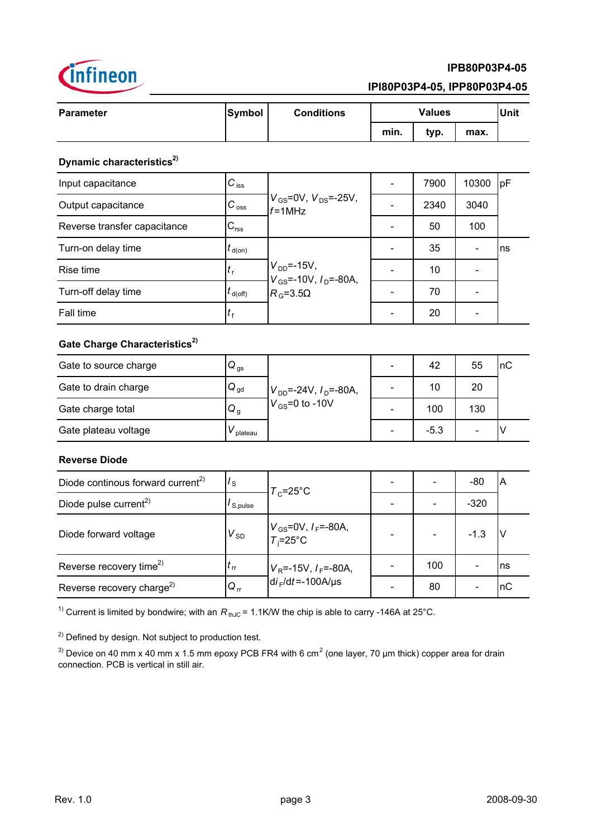

### **IPI80P03P4-05, IPP80P03P4-05**

| <b>Parameter</b> | <b>Symbol</b> | <b>Conditions</b> | <b>Values</b> |      |      | <b>Unit</b> |
|------------------|---------------|-------------------|---------------|------|------|-------------|
|                  |               |                   | min.          | typ. | max. |             |
| $\mathbf{a}$     |               |                   |               |      |      |             |

### **Dynamic characteristics**<sup>2)</sup>

| Input capacitance            | $C_{\text{iss}}$   |                                                   | 7900 | 10300 | pF |
|------------------------------|--------------------|---------------------------------------------------|------|-------|----|
| Output capacitance           | $C_{\text{oss}}$   | $V_{GS}$ =0V, $V_{DS}$ =-25V,<br>$f = 1$ MHz      | 2340 | 3040  |    |
| Reverse transfer capacitance | $C_{\text{rss}}$   |                                                   | 50   | 100   |    |
| Turn-on delay time           | $t_{\text{d}(on)}$ |                                                   | 35   |       | ns |
| Rise time                    | $\mathbf{r}$       | $V_{DD}$ =-15V,<br>$V_{GS}$ =-10V, $I_{D}$ =-80A, | 10   |       |    |
| Turn-off delay time          | $t_{d(Off)}$       | $R_{\rm G} = 3.5\Omega$                           | 70   |       |    |
| Fall time                    | $I_{\rm f}$        |                                                   | 20   |       |    |

# Gate Charge Characteristics<sup>2)</sup>

| Gate to source charge | $Q_{\text{gs}}$ |                                |   | 42     | 55  | InC |
|-----------------------|-----------------|--------------------------------|---|--------|-----|-----|
| Gate to drain charge  | $\bf Q_{gd}$    | $V_{DD}$ =-24V, $I_D$ =-80A,   |   | 10     | 20  |     |
| Gate charge total     | $Q_g$           | $\sqrt{V_{\rm GS}}$ =0 to -10V | - | 100    | 130 |     |
| Gate plateau voltage  | plateau         |                                |   | $-5.3$ |     |     |

### **Reverse Diode**

| Diode continous forward current <sup>2)</sup> | $I_{\rm S}$           | $T_c = 25^{\circ}$ C                             |     | -80    | ΙA  |
|-----------------------------------------------|-----------------------|--------------------------------------------------|-----|--------|-----|
| Diode pulse current <sup>2)</sup>             | I <sub>S.pulse</sub>  |                                                  |     | $-320$ |     |
| Diode forward voltage                         | $V_{SD}$              | $V_{\text{GS}}$ =0V, $I_F$ =-80A,<br>$T_i$ =25°C |     | $-1.3$ |     |
| Reverse recovery time <sup>2)</sup>           | $\iota$ <sub>rr</sub> | $V_{\rm R}$ =-15V, $I_{\rm F}$ =-80A,            | 100 |        | Ins |
| Reverse recovery charge <sup>2)</sup>         | $Q_{rr}$              | $di_F/dt = -100A/\mu s$                          | 80  |        | nC  |

<sup>1)</sup> Current is limited by bondwire; with an  $R_{thJC} = 1.1$ K/W the chip is able to carry -146A at 25°C.

<sup>2)</sup> Defined by design. Not subject to production test.

<sup>3)</sup> Device on 40 mm x 40 mm x 1.5 mm epoxy PCB FR4 with 6 cm<sup>2</sup> (one layer, 70 µm thick) copper area for drain connection. PCB is vertical in still air.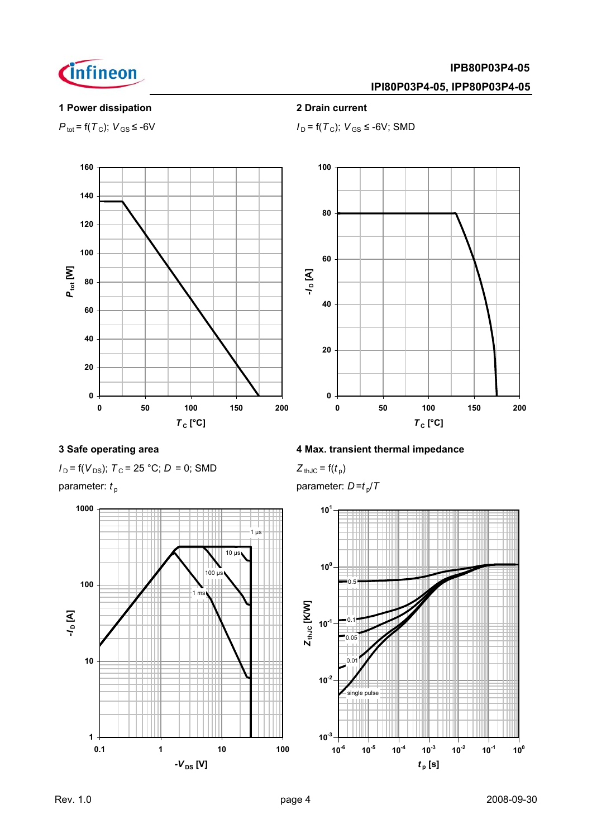

### **IPI80P03P4-05, IPP80P03P4-05**

### **1 Power dissipation 2 Drain current**

 $P_{\text{tot}} = f(T_c)$ ;  $V_{\text{GS}} \le -6V$  *I*  $I_D = f(T_c)$ ;  $V_{\text{GS}} \le -6V$ ; SMD





$$
I_D = f(V_{DS})
$$
;  $T_C = 25$  °C;  $D = 0$ ; SMD  $Z_{thJC} = f(t_p)$ 



### **3 Safe operating area 4 Max. transient thermal impedance**

$$
Z_{\text{thJC}} = \mathsf{f}(t_{\text{p}})
$$

parameter:  $t_p$  parameter:  $D = t_p/T$ 

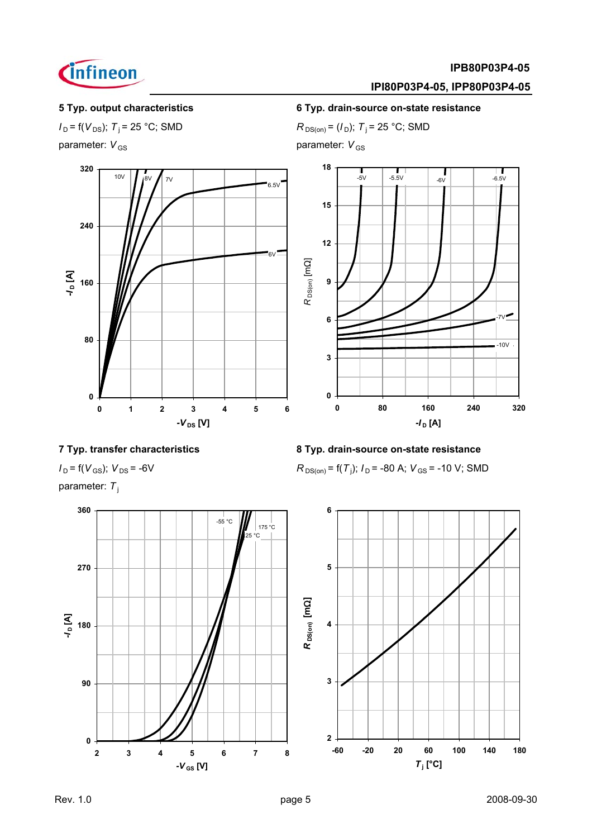

### **IPI80P03P4-05, IPP80P03P4-05**

**5 Typ. output characteristics 6 Typ. drain-source on-state resistance**

 $I_D = f(V_{DS})$ ; *T*<sub>i</sub> = 25 °C; SMD *R*<sub>DS(on)</sub> = (*I*<sub>D</sub>); *T*<sub>i</sub> = 25 °C; SMD



parameter: *V*<sub>GS</sub> parameter: *V*<sub>GS</sub>



### **7 Typ. transfer characteristics 8 Typ. drain-source on-state resistance**

 $I_D = f(V_{GS})$ ;  $V_{DS} = -6V$ 

parameter: T<sub>i</sub>



 $R_{DS(on)}$  = f(T<sub>j</sub>);  $I_D$  = -80 A;  $V_{GS}$  = -10 V; SMD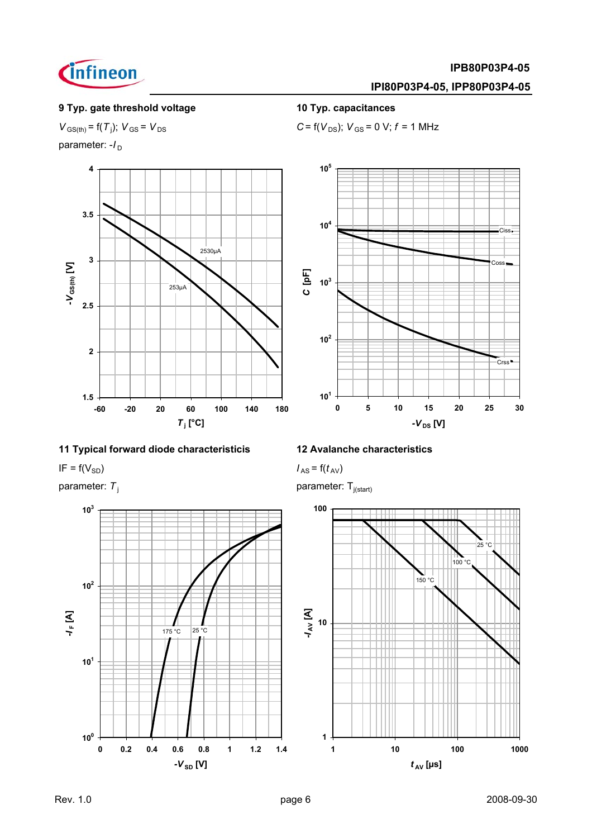

### **IPI80P03P4-05, IPP80P03P4-05**

### **9 Typ. gate threshold voltage 10 Typ. capacitances**

 $V_{\text{GS(th)}} = f(T_i)$ ;  $V_{\text{GS}} = V_{\text{DS}}$ 

parameter: - /<sub>D</sub>



### **11 Typical forward diode characteristicis 12 Avalanche characteristics**

 $I_{AS} = f(V_{SD})$  *I<sub>AS</sub>* =  $f(t_{AV})$ 



 $C = f(V_{DS})$ ;  $V_{GS} = 0$  V;  $f = 1$  MHz



parameter:  $T_i$  parameter:  $T_{i(\text{start})}$ 

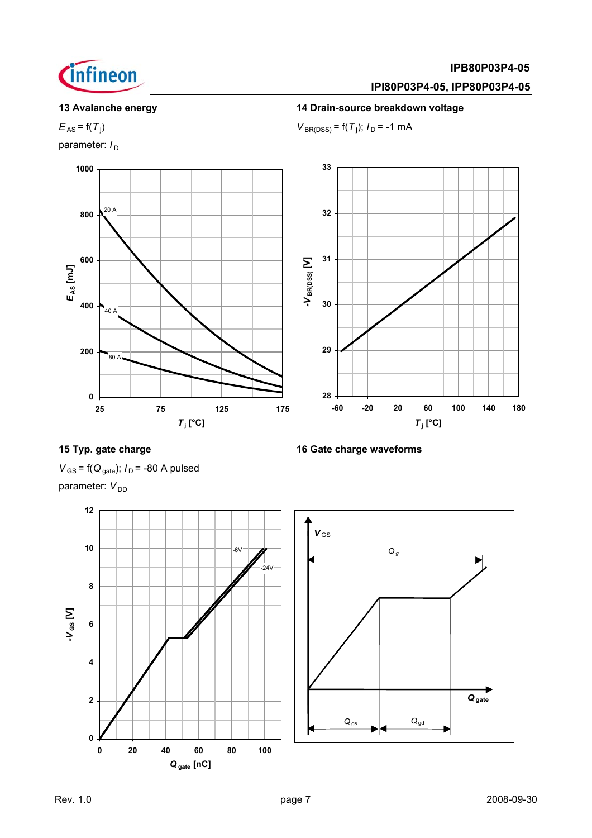

### **IPI80P03P4-05, IPP80P03P4-05**

### **13 Avalanche energy 14 Drain-source breakdown voltage**

 $E_{AS}$  =  $f(T_i)$ )  $V_{\text{BR(DSS)}} = f(T_i); I_D = -1 \text{ mA}$ 

parameter:  $I_D$ 



### **15 Typ. gate charge 16 Gate charge waveforms**

 $V_{\text{GS}}$  = f( $Q_{\text{gate}}$ );  $I_{\text{D}}$  = -80 A pulsed parameter:  $V_{DD}$ 

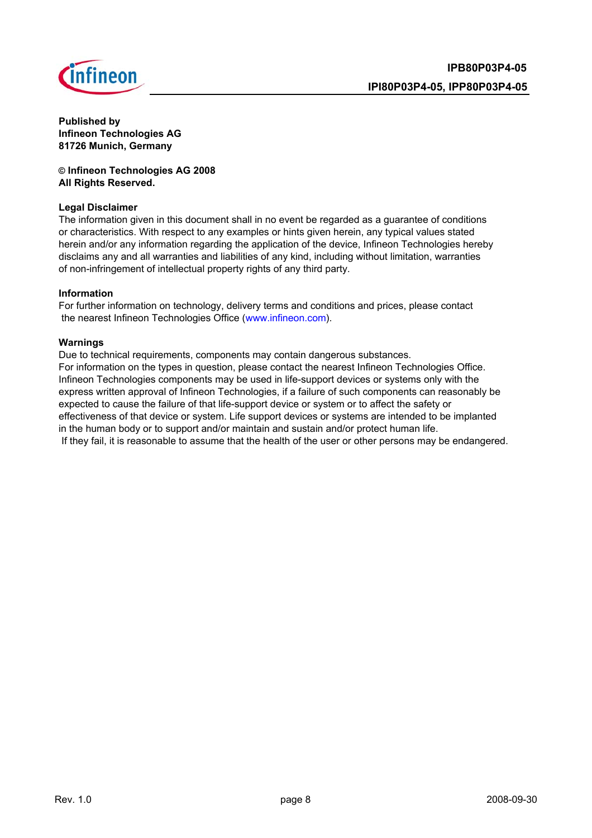

**Published by Infineon Technologies AG 81726 Munich, Germany**

**© Infineon Technologies AG 2008 All Rights Reserved.**

### **Legal Disclaimer**

The information given in this document shall in no event be regarded as a guarantee of conditions or characteristics. With respect to any examples or hints given herein, any typical values stated herein and/or any information regarding the application of the device, Infineon Technologies hereby disclaims any and all warranties and liabilities of any kind, including without limitation, warranties of non-infringement of intellectual property rights of any third party.

### **Information**

For further information on technology, delivery terms and conditions and prices, please contact the nearest Infineon Technologies Office (www.infineon.com).

### **Warnings**

Due to technical requirements, components may contain dangerous substances. For information on the types in question, please contact the nearest Infineon Technologies Office. Infineon Technologies components may be used in life-support devices or systems only with the express written approval of Infineon Technologies, if a failure of such components can reasonably be expected to cause the failure of that life-support device or system or to affect the safety or effectiveness of that device or system. Life support devices or systems are intended to be implanted in the human body or to support and/or maintain and sustain and/or protect human life. If they fail, it is reasonable to assume that the health of the user or other persons may be endangered.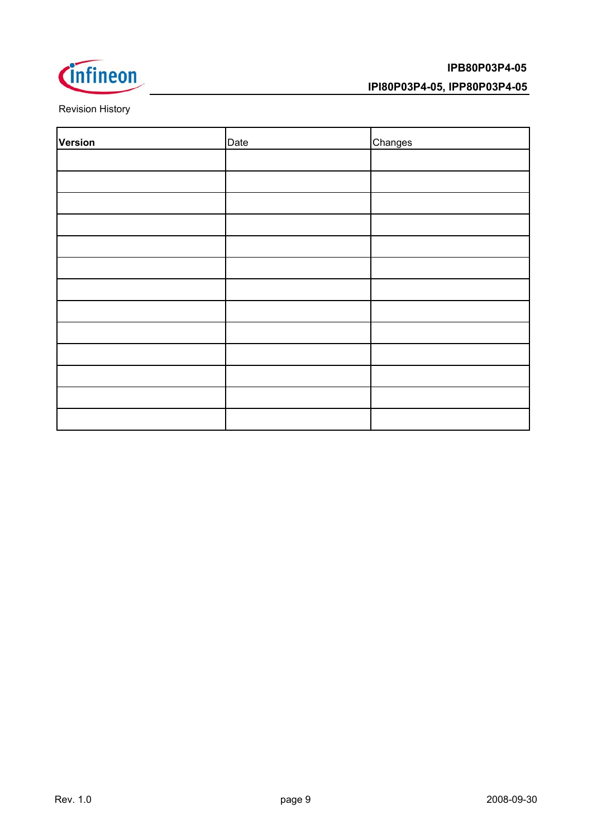

### **IPI80P03P4-05, IPP80P03P4-05**

Revision History

| Version | Date | Changes |
|---------|------|---------|
|         |      |         |
|         |      |         |
|         |      |         |
|         |      |         |
|         |      |         |
|         |      |         |
|         |      |         |
|         |      |         |
|         |      |         |
|         |      |         |
|         |      |         |
|         |      |         |
|         |      |         |